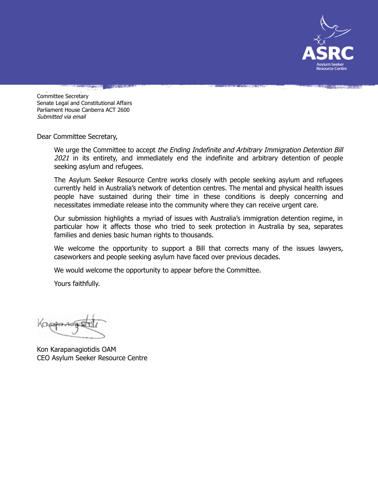

Committee Secretary Senate Legal and Constitutional Affairs Parliament House Canberra ACT 2600 Submitted via email

Dear Committee Secretary,

We urge the Committee to accept the Ending Indefinite and Arbitrary Immigration Detention Bill 2021 in its entirety, and immediately end the indefinite and arbitrary detention of people seeking asylum and refugees.

The Asylum Seeker Resource Centre works closely with people seeking asylum and refugees currently held in Australia's network of detention centres. The mental and physical health issues people have sustained during their time in these conditions is deeply concerning and necessitates immediate release into the community where they can receive urgent care.

Our submission highlights a myriad of issues with Australia's immigration detention regime, in particular how it affects those who tried to seek protection in Australia by sea, separates families and denies basic human rights to thousands.

We welcome the opportunity to support a Bill that corrects many of the issues lawyers, caseworkers and people seeking asylum have faced over previous decades.

We would welcome the opportunity to appear before the Committee.

Yours faithfully.

Kon Karapanagiotidis OAM CEO Asylum Seeker Resource Centre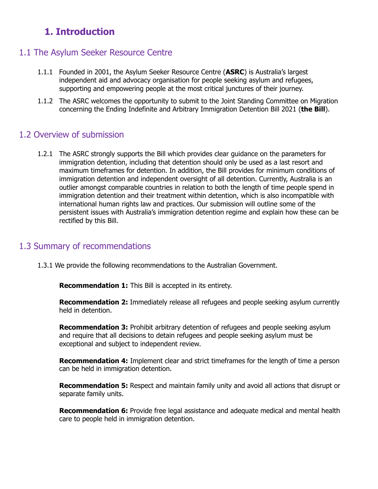# **1. Introduction**

## 1.1 The Asylum Seeker Resource Centre

- 1.1.1 Founded in 2001, the Asylum Seeker Resource Centre (**ASRC**) is Australia's largest independent aid and advocacy organisation for people seeking asylum and refugees, supporting and empowering people at the most critical junctures of their journey.
- 1.1.2 The ASRC welcomes the opportunity to submit to the Joint Standing Committee on Migration concerning the Ending Indefinite and Arbitrary Immigration Detention Bill 2021 (**the Bill**).

### 1.2 Overview of submission

1.2.1 The ASRC strongly supports the Bill which provides clear guidance on the parameters for immigration detention, including that detention should only be used as a last resort and maximum timeframes for detention. In addition, the Bill provides for minimum conditions of immigration detention and independent oversight of all detention. Currently, Australia is an outlier amongst comparable countries in relation to both the length of time people spend in immigration detention and their treatment within detention, which is also incompatible with international human rights law and practices. Our submission will outline some of the persistent issues with Australia's immigration detention regime and explain how these can be rectified by this Bill.

### 1.3 Summary of recommendations

1.3.1 We provide the following recommendations to the Australian Government.

**Recommendation 1:** This Bill is accepted in its entirety.

**Recommendation 2:** Immediately release all refugees and people seeking asylum currently held in detention.

**Recommendation 3:** Prohibit arbitrary detention of refugees and people seeking asylum and require that all decisions to detain refugees and people seeking asylum must be exceptional and subject to independent review.

**Recommendation 4:** Implement clear and strict timeframes for the length of time a person can be held in immigration detention.

**Recommendation 5:** Respect and maintain family unity and avoid all actions that disrupt or separate family units.

**Recommendation 6:** Provide free legal assistance and adequate medical and mental health care to people held in immigration detention.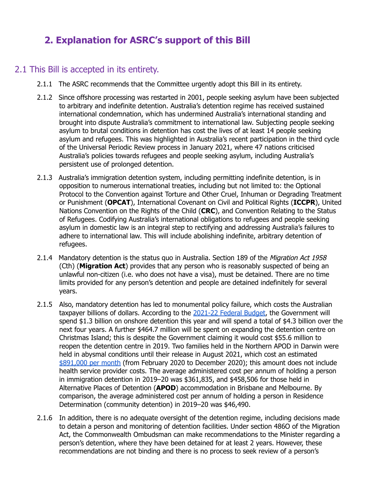# **2. Explanation for ASRC's support of this Bill**

### 2.1 This Bill is accepted in its entirety.

- 2.1.1 The ASRC recommends that the Committee urgently adopt this Bill in its entirety.
- 2.1.2 Since offshore processing was restarted in 2001, people seeking asylum have been subjected to arbitrary and indefinite detention. Australia's detention regime has received sustained international condemnation, which has undermined Australia's international standing and brought into dispute Australia's commitment to international law. Subjecting people seeking asylum to brutal conditions in detention has cost the lives of at least 14 people seeking asylum and refugees. This was highlighted in Australia's recent participation in the third cycle of the Universal Periodic Review process in January 2021, where 47 nations criticised Australia's policies towards refugees and people seeking asylum, including Australia's persistent use of prolonged detention.
- 2.1.3 Australia's immigration detention system, including permitting indefinite detention, is in opposition to numerous international treaties, including but not limited to: the Optional Protocol to the Convention against Torture and Other Cruel, Inhuman or Degrading Treatment or Punishment (**OPCAT**), International Covenant on Civil and Political Rights (**ICCPR**), United Nations Convention on the Rights of the Child (**CRC**), and Convention Relating to the Status of Refugees. Codifying Australia's international obligations to refugees and people seeking asylum in domestic law is an integral step to rectifying and addressing Australia's failures to adhere to international law. This will include abolishing indefinite, arbitrary detention of refugees.
- 2.1.4 Mandatory detention is the status quo in Australia. Section 189 of the Migration Act 1958 (Cth) (**Migration Act**) provides that any person who is reasonably suspected of being an unlawful non-citizen (i.e. who does not have a visa), must be detained. There are no time limits provided for any person's detention and people are detained indefinitely for several years.
- 2.1.5 Also, mandatory detention has led to monumental policy failure, which costs the Australian taxpayer billions of dollars. According to the [2021-22](https://www.homeaffairs.gov.au/reports-and-pubs/budgets/2021-22-home-affairs-pbs-full.pdf) Federal Budget, the Government will spend \$1.3 billion on onshore detention this year and will spend a total of \$4.3 billion over the next four years. A further \$464.7 million will be spent on expanding the detention centre on Christmas Island; this is despite the Government claiming it would cost \$55.6 million to reopen the detention centre in 2019. Two families held in the Northern APOD in Darwin were held in abysmal conditions until their release in August 2021, which cost an estimated [\\$891,000](https://www.aph.gov.au/api/qon/downloadestimatesquestions/EstimatesQuestion-CommitteeId6-EstimatesRoundId11-PortfolioId20-QuestionNumber268) per month (from February 2020 to December 2020); this amount does not include health service provider costs. The average administered cost per annum of holding a person in immigration detention in 2019–20 was \$361,835, and \$458,506 for those held in Alternative Places of Detention (**APOD**) accommodation in Brisbane and Melbourne. By comparison, the average administered cost per annum of holding a person in Residence Determination (community detention) in 2019–20 was \$46,490.
- 2.1.6 In addition, there is no adequate oversight of the detention regime, including decisions made to detain a person and monitoring of detention facilities. Under section 486O of the Migration Act, the Commonwealth Ombudsman can make recommendations to the Minister regarding a person's detention, where they have been detained for at least 2 years. However, these recommendations are not binding and there is no process to seek review of a person's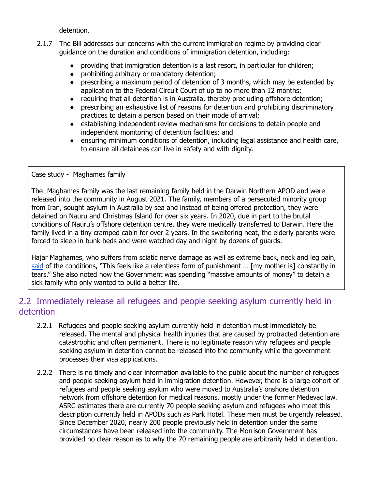detention.

- 2.1.7 The Bill addresses our concerns with the current immigration regime by providing clear guidance on the duration and conditions of immigration detention, including:
	- providing that immigration detention is a last resort, in particular for children;
	- prohibiting arbitrary or mandatory detention;
	- prescribing a maximum period of detention of 3 months, which may be extended by application to the Federal Circuit Court of up to no more than 12 months;
	- requiring that all detention is in Australia, thereby precluding offshore detention;
	- prescribing an exhaustive list of reasons for detention and prohibiting discriminatory practices to detain a person based on their mode of arrival;
	- establishing independent review mechanisms for decisions to detain people and independent monitoring of detention facilities; and
	- ensuring minimum conditions of detention, including legal assistance and health care, to ensure all detainees can live in safety and with dignity.

Case study - Maghames family

The Maghames family was the last remaining family held in the Darwin Northern APOD and were released into the community in August 2021. The family, members of a persecuted minority group from Iran, sought asylum in Australia by sea and instead of being offered protection, they were detained on Nauru and Christmas Island for over six years. In 2020, due in part to the brutal conditions of Nauru's offshore detention centre, they were medically transferred to Darwin. Here the family lived in a tiny cramped cabin for over 2 years. In the sweltering heat, the elderly parents were forced to sleep in bunk beds and were watched day and night by dozens of guards.

Hajar Maghames, who suffers from sciatic nerve damage as well as extreme back, neck and leg pain, [said](https://www.theguardian.com/australia-news/2021/aug/11/after-eight-years-in-australian-detention-the-only-refugee-family-held-in-darwin-centre-remains-in-legal-limbo) of the conditions, "This feels like a relentless form of punishment ... [my mother is] constantly in tears." She also noted how the Government was spending "massive amounts of money" to detain a sick family who only wanted to build a better life.

# 2.2 Immediately release all refugees and people seeking asylum currently held in detention

- 2.2.1 Refugees and people seeking asylum currently held in detention must immediately be released. The mental and physical health injuries that are caused by protracted detention are catastrophic and often permanent. There is no legitimate reason why refugees and people seeking asylum in detention cannot be released into the community while the government processes their visa applications.
- 2.2.2 There is no timely and clear information available to the public about the number of refugees and people seeking asylum held in immigration detention. However, there is a large cohort of refugees and people seeking asylum who were moved to Australia's onshore detention network from offshore detention for medical reasons, mostly under the former Medevac law. ASRC estimates there are currently 70 people seeking asylum and refugees who meet this description currently held in APODs such as Park Hotel. These men must be urgently released. Since December 2020, nearly 200 people previously held in detention under the same circumstances have been released into the community. The Morrison Government has provided no clear reason as to why the 70 remaining people are arbitrarily held in detention.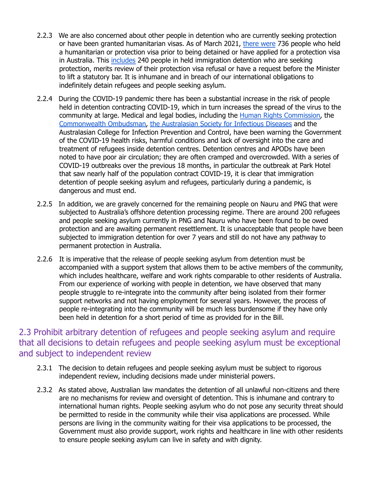- 2.2.3 We are also concerned about other people in detention who are currently seeking protection or have been granted humanitarian visas. As of March 2021, [there](https://www.aph.gov.au/api/qon/downloadestimatesquestions/EstimatesQuestion-CommitteeId6-EstimatesRoundId11-PortfolioId20-QuestionNumber377) were 736 people who held a humanitarian or protection visa prior to being detained or have applied for a protection visa in Australia. This [includes](https://www.aph.gov.au/api/qon/downloadestimatesquestions/EstimatesQuestion-CommitteeId6-EstimatesRoundId11-PortfolioId20-QuestionNumber431) 240 people in held immigration detention who are seeking protection, merits review of their protection visa refusal or have a request before the Minister to lift a statutory bar. It is inhumane and in breach of our international obligations to indefinitely detain refugees and people seeking asylum.
- 2.2.4 During the COVID-19 pandemic there has been a substantial increase in the risk of people held in detention contracting COVID-19, which in turn increases the spread of the virus to the community at large. Medical and legal bodies, including the Human Rights [Commission,](https://humanrights.gov.au/our-work/asylum-seekers-and-refugees/publications/management-covid-19-risks-immigration-detention) the [Commonwealth](https://www.ombudsman.gov.au/__data/assets/pdf_file/0015/112560/Report-No.-04_2021-Monitoring-Immigration-Detention-The-Ombudsmans-activities-in-overseeing-immigraiton-detention-January-June-2020-A2184717.pdf?utm_source=Media+contact&utm_campaign=bd73470477-MediaRelease_07052020_COPY_01&utm_medium=email&utm_term=0_2f5f078c69-bd73470477-&mc_cid=bd73470477&mc_eid=UNIQID) Ombudsman, the [Australasian](https://www.asid.net.au/documents/item/1868) Society for Infectious Diseases and the Australasian College for Infection Prevention and Control, have been warning the Government of the COVID-19 health risks, harmful conditions and lack of oversight into the care and treatment of refugees inside detention centres. Detention centres and APODs have been noted to have poor air circulation; they are often cramped and overcrowded. With a series of COVID-19 outbreaks over the previous 18 months, in particular the outbreak at Park Hotel that saw nearly half of the population contract COVID-19, it is clear that immigration detention of people seeking asylum and refugees, particularly during a pandemic, is dangerous and must end.
- 2.2.5 In addition, we are gravely concerned for the remaining people on Nauru and PNG that were subjected to Australia's offshore detention processing regime. There are around 200 refugees and people seeking asylum currently in PNG and Nauru who have been found to be owed protection and are awaiting permanent resettlement. It is unacceptable that people have been subjected to immigration detention for over 7 years and still do not have any pathway to permanent protection in Australia.
- 2.2.6 It is imperative that the release of people seeking asylum from detention must be accompanied with a support system that allows them to be active members of the community, which includes healthcare, welfare and work rights comparable to other residents of Australia. From our experience of working with people in detention, we have observed that many people struggle to re-integrate into the community after being isolated from their former support networks and not having employment for several years. However, the process of people re-integrating into the community will be much less burdensome if they have only been held in detention for a short period of time as provided for in the Bill.

## 2.3 Prohibit arbitrary detention of refugees and people seeking asylum and require that all decisions to detain refugees and people seeking asylum must be exceptional and subject to independent review

- 2.3.1 The decision to detain refugees and people seeking asylum must be subject to rigorous independent review, including decisions made under ministerial powers.
- 2.3.2 As stated above, Australian law mandates the detention of all unlawful non-citizens and there are no mechanisms for review and oversight of detention. This is inhumane and contrary to international human rights. People seeking asylum who do not pose any security threat should be permitted to reside in the community while their visa applications are processed. While persons are living in the community waiting for their visa applications to be processed, the Government must also provide support, work rights and healthcare in line with other residents to ensure people seeking asylum can live in safety and with dignity.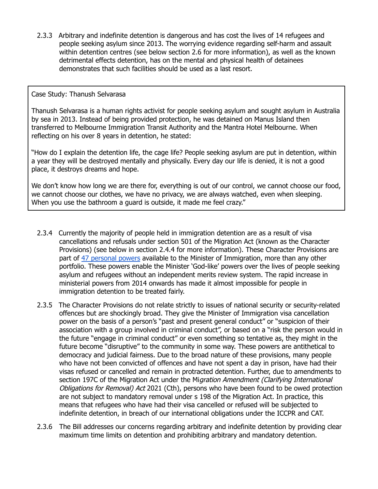2.3.3 Arbitrary and indefinite detention is dangerous and has cost the lives of 14 refugees and people seeking asylum since 2013. The worrying evidence regarding self-harm and assault within detention centres (see below section 2.6 for more information), as well as the known detrimental effects detention, has on the mental and physical health of detainees demonstrates that such facilities should be used as a last resort.

#### Case Study: Thanush Selvarasa

Thanush Selvarasa is a human rights activist for people seeking asylum and sought asylum in Australia by sea in 2013. Instead of being provided protection, he was detained on Manus Island then transferred to Melbourne Immigration Transit Authority and the Mantra Hotel Melbourne. When reflecting on his over 8 years in detention, he stated:

"How do I explain the detention life, the cage life? People seeking asylum are put in detention, within a year they will be destroyed mentally and physically. Every day our life is denied, it is not a good place, it destroys dreams and hope.

We don't know how long we are there for, everything is out of our control, we cannot choose our food, we cannot choose our clothes, we have no privacy, we are always watched, even when sleeping. When you use the bathroom a guard is outside, it made me feel crazy."

- 2.3.4 Currently the majority of people held in immigration detention are as a result of visa cancellations and refusals under section 501 of the Migration Act (known as the Character Provisions) (see below in section 2.4.4 for more information). These Character Provisions are part of 47 [personal](http://libertyvic.rightsadvocacy.org.au/wp-content/uploads/2017/05/YLLR_PlayingGod_Report2017_FINAL2.1-1.pdf) powers available to the Minister of Immigration, more than any other portfolio. These powers enable the Minister 'God-like' powers over the lives of people seeking asylum and refugees without an independent merits review system. The rapid increase in ministerial powers from 2014 onwards has made it almost impossible for people in immigration detention to be treated fairly.
- 2.3.5 The Character Provisions do not relate strictly to issues of national security or security-related offences but are shockingly broad. They give the Minister of Immigration visa cancellation power on the basis of a person's "past and present general conduct" or "suspicion of their association with a group involved in criminal conduct", or based on a "risk the person would in the future "engage in criminal conduct" or even something so tentative as, they might in the future become "disruptive" to the community in some way. These powers are antithetical to democracy and judicial fairness. Due to the broad nature of these provisions, many people who have not been convicted of offences and have not spent a day in prison, have had their visas refused or cancelled and remain in protracted detention. Further, due to amendments to section 197C of the Migration Act under the Migration Amendment (Clarifying International Obligations for Removal) Act 2021 (Cth), persons who have been found to be owed protection are not subject to mandatory removal under s 198 of the Migration Act. In practice, this means that refugees who have had their visa cancelled or refused will be subjected to indefinite detention, in breach of our international obligations under the ICCPR and CAT.
- 2.3.6 The Bill addresses our concerns regarding arbitrary and indefinite detention by providing clear maximum time limits on detention and prohibiting arbitrary and mandatory detention.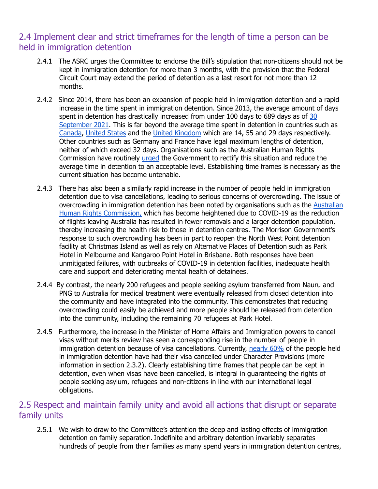# 2.4 Implement clear and strict timeframes for the length of time a person can be held in immigration detention

- 2.4.1 The ASRC urges the Committee to endorse the Bill's stipulation that non-citizens should not be kept in immigration detention for more than 3 months, with the provision that the Federal Circuit Court may extend the period of detention as a last resort for not more than 12 months.
- 2.4.2 Since 2014, there has been an expansion of people held in immigration detention and a rapid increase in the time spent in immigration detention. Since 2013, the average amount of days spent in detention has drastically increased from under 100 days to 689 days as of [30](https://www.homeaffairs.gov.au/research-and-stats/files/immigration-detention-statistics-30-september-2021.pdf) [September](https://www.homeaffairs.gov.au/research-and-stats/files/immigration-detention-statistics-30-september-2021.pdf) 2021. This is far beyond the average time spent in detention in countries such as [Canada](https://www.cbsa-asfc.gc.ca/security-securite/detent/stat-2019-2020-eng.html), [United](https://www.americanimmigrationcouncil.org/research/immigration-detention-united-states-agency) States and the United [Kingdom](https://migrationobservatory.ox.ac.uk/resources/briefings/immigration-detention-in-the-uk/) which are 14, 55 and 29 days respectively. Other countries such as Germany and France have legal maximum lengths of detention, neither of which exceed 32 days. Organisations such as the Australian Human Rights Commission have routinely [urged](https://humanrights.gov.au/our-work/asylum-seekers-and-refugees/publications/inspections-australias-immigration-detention) the Government to rectify this situation and reduce the average time in detention to an acceptable level. Establishing time frames is necessary as the current situation has become untenable.
- 2.4.3 There has also been a similarly rapid increase in the number of people held in immigration detention due to visa cancellations, leading to serious concerns of overcrowding. The issue of overcrowding in immigration detention has been noted by organisations such as the [Australian](https://humanrights.gov.au/our-work/asylum-seekers-and-refugees/publications/management-covid-19-risks-immigration-detention) Human Rights [Commission,](https://humanrights.gov.au/our-work/asylum-seekers-and-refugees/publications/management-covid-19-risks-immigration-detention) which has become heightened due to COVID-19 as the reduction of flights leaving Australia has resulted in fewer removals and a larger detention population, thereby increasing the health risk to those in detention centres. The Morrison Government's response to such overcrowding has been in part to reopen the North West Point detention facility at Christmas Island as well as rely on Alternative Places of Detention such as Park Hotel in Melbourne and Kangaroo Point Hotel in Brisbane. Both responses have been unmitigated failures, with outbreaks of COVID-19 in detention facilities, inadequate health care and support and deteriorating mental health of detainees.
- 2.4.4 By contrast, the nearly 200 refugees and people seeking asylum transferred from Nauru and PNG to Australia for medical treatment were eventually released from closed detention into the community and have integrated into the community. This demonstrates that reducing overcrowding could easily be achieved and more people should be released from detention into the community, including the remaining 70 refugees at Park Hotel.
- 2.4.5 Furthermore, the increase in the Minister of Home Affairs and Immigration powers to cancel visas without merits review has seen a corresponding rise in the number of people in immigration detention because of visa cancellations. Currently, [nearly](https://www.homeaffairs.gov.au/research-and-stats/files/immigration-detention-statistics-30-september-2021.pdf) 60% of the people held in immigration detention have had their visa cancelled under Character Provisions (more information in section 2.3.2). Clearly establishing time frames that people can be kept in detention, even when visas have been cancelled, is integral in guaranteeing the rights of people seeking asylum, refugees and non-citizens in line with our international legal obligations.

## 2.5 Respect and maintain family unity and avoid all actions that disrupt or separate family units

2.5.1 We wish to draw to the Committee's attention the deep and lasting effects of immigration detention on family separation. Indefinite and arbitrary detention invariably separates hundreds of people from their families as many spend years in immigration detention centres,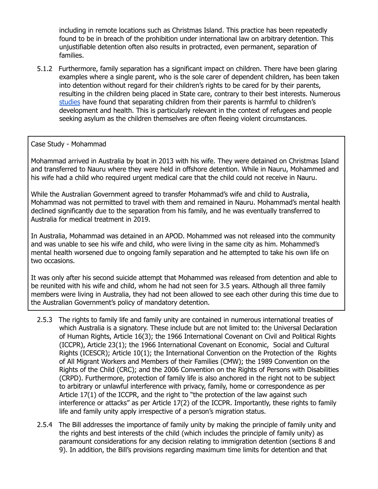including in remote locations such as Christmas Island. This practice has been repeatedly found to be in breach of the prohibition under international law on arbitrary detention. This unjustifiable detention often also results in protracted, even permanent, separation of families.

5.1.2 Furthermore, family separation has a significant impact on children. There have been glaring examples where a single parent, who is the sole carer of dependent children, has been taken into detention without regard for their children's rights to be cared for by their parents, resulting in the children being placed in State care, contrary to their best interests. Numerous [studies](https://refugeeresearch.net/wp-content/uploads/2016/11/Cleveland-et-al-2012-Detention-and-asylum-seekers_mental-health.pdf) have found that separating children from their parents is harmful to children's development and health. This is particularly relevant in the context of refugees and people seeking asylum as the children themselves are often fleeing violent circumstances.

#### Case Study - Mohammad

Mohammad arrived in Australia by boat in 2013 with his wife. They were detained on Christmas Island and transferred to Nauru where they were held in offshore detention. While in Nauru, Mohammed and his wife had a child who required urgent medical care that the child could not receive in Nauru.

While the Australian Government agreed to transfer Mohammad's wife and child to Australia, Mohammad was not permitted to travel with them and remained in Nauru. Mohammad's mental health declined significantly due to the separation from his family, and he was eventually transferred to Australia for medical treatment in 2019.

In Australia, Mohammad was detained in an APOD. Mohammed was not released into the community and was unable to see his wife and child, who were living in the same city as him. Mohammed's mental health worsened due to ongoing family separation and he attempted to take his own life on two occasions.

It was only after his second suicide attempt that Mohammed was released from detention and able to be reunited with his wife and child, whom he had not seen for 3.5 years. Although all three family members were living in Australia, they had not been allowed to see each other during this time due to the Australian Government's policy of mandatory detention.

- 2.5.3 The rights to family life and family unity are contained in numerous international treaties of which Australia is a signatory. These include but are not limited to: the Universal Declaration of Human Rights, Article 16(3); the 1966 International Covenant on Civil and Political Rights (ICCPR), Article 23(1); the 1966 International Covenant on Economic, Social and Cultural Rights (ICESCR); Article 10(1); the International Convention on the Protection of the Rights of All Migrant Workers and Members of their Families (CMW); the 1989 Convention on the Rights of the Child (CRC); and the 2006 Convention on the Rights of Persons with Disabilities (CRPD). Furthermore, protection of family life is also anchored in the right not to be subject to arbitrary or unlawful interference with privacy, family, home or correspondence as per Article 17(1) of the ICCPR, and the right to "the protection of the law against such interference or attacks" as per Article 17(2) of the ICCPR. Importantly, these rights to family life and family unity apply irrespective of a person's migration status.
- 2.5.4 The Bill addresses the importance of family unity by making the principle of family unity and the rights and best interests of the child (which includes the principle of family unity) as paramount considerations for any decision relating to immigration detention (sections 8 and 9). In addition, the Bill's provisions regarding maximum time limits for detention and that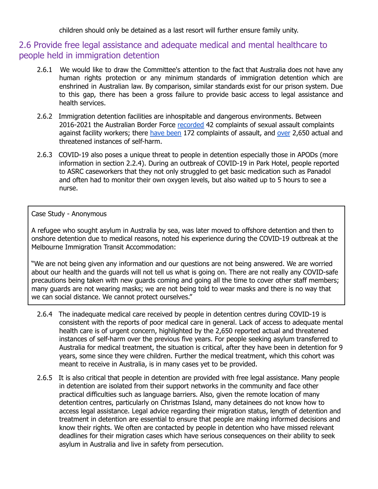children should only be detained as a last resort will further ensure family unity.

# 2.6 Provide free legal assistance and adequate medical and mental healthcare to people held in immigration detention

- 2.6.1 We would like to draw the Committee's attention to the fact that Australia does not have any human rights protection or any minimum standards of immigration detention which are enshrined in Australian law. By comparison, similar standards exist for our prison system. Due to this gap, there has been a gross failure to provide basic access to legal assistance and health services.
- 2.6.2 Immigration detention facilities are inhospitable and dangerous environments. Between 2016-2021 the Australian Border Force [recorded](https://www.aph.gov.au/api/qon/downloadestimatesquestions/EstimatesQuestion-CommitteeId6-EstimatesRoundId11-PortfolioId20-QuestionNumber405) 42 complaints of sexual assault complaints against facility workers; there have [been](https://www.aph.gov.au/api/qon/downloadestimatesquestions/EstimatesQuestion-CommitteeId6-EstimatesRoundId11-PortfolioId20-QuestionNumber404) 172 complaints of assault, and [over](https://www.aph.gov.au/api/qon/downloadestimatesquestions/EstimatesQuestion-CommitteeId6-EstimatesRoundId11-PortfolioId20-QuestionNumber401) 2,650 actual and threatened instances of self-harm.
- 2.6.3 COVID-19 also poses a unique threat to people in detention especially those in APODs (more information in section 2.2.4). During an outbreak of COVID-19 in Park Hotel, people reported to ASRC caseworkers that they not only struggled to get basic medication such as Panadol and often had to monitor their own oxygen levels, but also waited up to 5 hours to see a nurse.

#### Case Study - Anonymous

A refugee who sought asylum in Australia by sea, was later moved to offshore detention and then to onshore detention due to medical reasons, noted his experience during the COVID-19 outbreak at the Melbourne Immigration Transit Accommodation:

"We are not being given any information and our questions are not being answered. We are worried about our health and the guards will not tell us what is going on. There are not really any COVID-safe precautions being taken with new guards coming and going all the time to cover other staff members; many guards are not wearing masks; we are not being told to wear masks and there is no way that we can social distance. We cannot protect ourselves."

- 2.6.4 The inadequate medical care received by people in detention centres during COVID-19 is consistent with the reports of poor medical care in general. Lack of access to adequate mental health care is of urgent concern, highlighted by the 2,650 reported actual and threatened instances of self-harm over the previous five years. For people seeking asylum transferred to Australia for medical treatment, the situation is critical, after they have been in detention for 9 years, some since they were children. Further the medical treatment, which this cohort was meant to receive in Australia, is in many cases yet to be provided.
- 2.6.5 It is also critical that people in detention are provided with free legal assistance. Many people in detention are isolated from their support networks in the community and face other practical difficulties such as language barriers. Also, given the remote location of many detention centres, particularly on Christmas Island, many detainees do not know how to access legal assistance. Legal advice regarding their migration status, length of detention and treatment in detention are essential to ensure that people are making informed decisions and know their rights. We often are contacted by people in detention who have missed relevant deadlines for their migration cases which have serious consequences on their ability to seek asylum in Australia and live in safety from persecution.